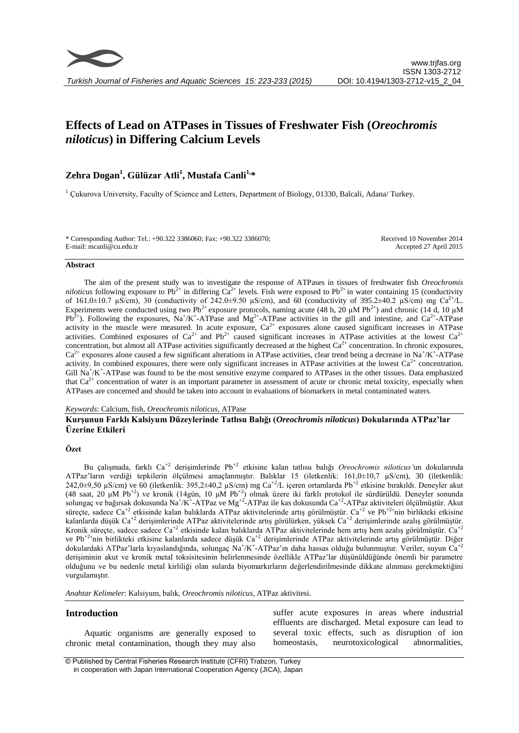# **Effects of Lead on ATPases in Tissues of Freshwater Fish (***Oreochromis niloticus***) in Differing Calcium Levels**

## **Zehra Dogan<sup>1</sup> , Gülüzar Atli<sup>1</sup> , Mustafa Canli1,\***

<sup>1</sup> Çukurova University, Faculty of Science and Letters, Department of Biology, 01330, Balcali, Adana/ Turkey.

\* Corresponding Author: Tel.: +90.322 3386060; Fax: +90.322 3386070; E-mail: mcanli@cu.edu.tr

Received 10 November 2014 Accepted 27 April 2015

#### **Abstract**

The aim of the present study was to investigate the response of ATPases in tissues of freshwater fish *Oreochromis niloticus* following exposure to Pb<sup>2+</sup> in differing  $Ca^{2+}$  levels. Fish were exposed to Pb<sup>2+</sup> in water containing 15 (conductivity of 161.0 $\pm$ 10.7 µS/cm), 30 (conductivity of 242.0 $\pm$ 9.50 µS/cm), and 60 (conductivity of 395.2 $\pm$ 40.2 µS/cm) mg Ca<sup>2+</sup>/L. Experiments were conducted using two Pb<sup>2+</sup> exposure protocols, naming acute (48 h, 20  $\mu$ M Pb<sup>2+</sup>) and chronic (14 d, 10  $\mu$ M  $Pb^{2+}$ ). Following the exposures,  $Na^{+}/K^{+}$ -ATPase and  $Mg^{2+}$ -ATPase activities in the gill and intestine, and  $Ca^{2+}$ -ATPase activity in the muscle were measured. In acute exposure,  $Ca^{2+}$  exposures alone caused significant increases in ATPase activities. Combined exposures of  $Ca^{2+}$  and  $Pb^{2+}$  caused significant increases in ATPase activities at the lowest  $Ca^{2+}$ concentration, but almost all ATPase activities significantly decreased at the highest  $Ca<sup>2+</sup>$  concentration. In chronic exposures,  $Ca^{2+}$  exposures alone caused a few significant alterations in ATPase activities, clear trend being a decrease in Na<sup>+</sup>/K<sup>+</sup>-ATPase activity. In combined exposures, there were only significant increases in ATPase activities at the lowest  $Ca<sup>2+</sup>$  concentration. Gill  $Na^+/K^+$ -ATPase was found to be the most sensitive enzyme compared to ATPases in the other tissues. Data emphasized that  $Ca<sup>2+</sup>$  concentration of water is an important parameter in assessment of acute or chronic metal toxicity, especially when ATPases are concerned and should be taken into account in evaluations of biomarkers in metal contaminated waters.

#### *Keywords*: Calcium, fish, *Oreochromis niloticus*, ATPase

## **Kurşunun Farklı Kalsiyum Düzeylerinde Tatlısu Balığı (***Oreochromis niloticus***) Dokularında ATPaz'lar Üzerine Etkileri**

## **Özet**

Bu çalışmada, farklı Ca+2 derişimlerinde Pb+2 etkisine kalan tatlısu balığı *Oreochromis niloticus'*un dokularında ATPaz'ların verdiği tepkilerin ölçülmesi amaçlanmıştır. Balıklar 15 (iletkenlik: 161,0±10,7 µS/cm), 30 (iletkenlik: 242,0 $\pm$ 9,50 µS/cm) ve 60 (iletkenlik: 395,2 $\pm$ 40,2 µS/cm) mg Ca<sup>+2</sup>/L içeren ortamlarda Pb<sup>+2</sup> etkisine bırakıldı. Deneyler akut (48 saat, 20 μM Pb<sup>+2</sup>) ve kronik (14gün, 10 μM Pb<sup>+2</sup>) olmak üzere iki farklı protokol ile sürdürüldü. Deneyler sonunda solungaç ve bağırsak dokusunda Na $^+/\rm K^+$ -ATPaz ve Mg<sup>+2</sup>-ATPaz ile kas dokusunda Ca<sup>+2</sup>-ATPaz aktiviteleri ölçülmüştür. Akut süreçte, sadece Ca<sup>+2</sup> etkisinde kalan balıklarda ATPaz aktivitelerinde artış görülmüştür. Ca<sup>+2</sup> ve Pb<sup>+2</sup>'nin birlikteki etkisine kalanlarda düşük Ca<sup>+2</sup> derişimlerinde ATPaz aktivitelerinde artış görülürken, yüksek Ca<sup>+2</sup> derişimlerinde azalış görülmüştür. Kronik sürecte, sadece sadece Ca<sup>+2</sup> etkisinde kalan balıklarda ATPaz aktivitelerinde hem artış hem azalış görülmüştür. Ca<sup>+2</sup> ve Pb<sup>+2</sup>'nin birlikteki etkisine kalanlarda sadece düşük Ca<sup>+2</sup> derişimlerinde ATPaz aktivitelerinde artış görülmüştür. Diğer dokulardaki ATPaz'larla kıyaslandığında, solungaç Na<sup>+</sup>/K<sup>+</sup>-ATPaz'ın daha hassas olduğu bulunmuştur. Veriler, suyun Ca<sup>+2</sup> derişiminin akut ve kronik metal toksisitesinin belirlenmesinde özellikle ATPaz'lar düşünüldüğünde önemli bir parametre olduğunu ve bu nedenle metal kirliliği olan sularda biyomarkırların değerlendirilmesinde dikkate alınması gerekmektiğini vurgulamıştır.

*Anahtar Kelimeler*: Kalsiyum, balık, *Oreochromis niloticus*, ATPaz aktivitesi.

## **Introduction**

Aquatic organisms are generally exposed to chronic metal contamination, though they may also

suffer acute exposures in areas where industrial effluents are discharged. Metal exposure can lead to several toxic effects, such as disruption of ion homeostasis, neurotoxicological abnormalities,

© Published by Central Fisheries Research Institute (CFRI) Trabzon, Turkey in cooperation with Japan International Cooperation Agency (JICA), Japan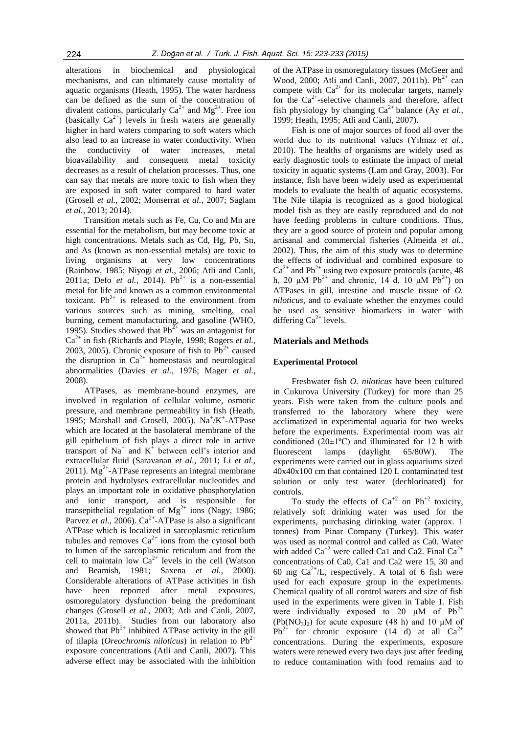alterations in biochemical and physiological mechanisms, and can ultimately cause mortality of aquatic organisms (Heath, 1995). The water hardness can be defined as the sum of the concentration of divalent cations, particularly  $Ca^{2+}$  and  $Mg^{2+}$ . Free ion (basically  $Ca^{2+}$ ) levels in fresh waters are generally higher in hard waters comparing to soft waters which also lead to an increase in water conductivity. When the conductivity of water increases, metal bioavailability and consequent metal toxicity decreases as a result of chelation processes. Thus, one can say that metals are more toxic to fish when they are exposed in soft water compared to hard water (Grosell *et al.*, 2002; Monserrat *et al.*, 2007; Saglam *et al.*, 2013; 2014).

Transition metals such as Fe, Cu, Co and Mn are essential for the metabolism, but may become toxic at high concentrations. Metals such as Cd, Hg, Pb, Sn, and As (known as non-essential metals) are toxic to living organisms at very low concentrations (Rainbow, 1985; Niyogi *et al.*, 2006; Atli and Canli, 2011a; Defo *et al.*, 2014). Pb<sup>2+</sup> is a non-essential metal for life and known as a common environmental toxicant.  $Pb^{2+}$  is released to the environment from various sources such as mining, smelting, coal burning, cement manufacturing, and gasoline (WHO, 1995). Studies showed that  $Pb^{2+}$  was an antagonist for Ca2+ in fish (Richards and Playle, 1998; Rogers *et al.*, 2003, 2005). Chronic exposure of fish to  $Pb^{2+}$  caused the disruption in  $Ca^{2+}$  homeostasis and neurological abnormalities (Davies *et al.*, 1976; Mager *et al.*, 2008).

ATPases, as membrane-bound enzymes, are involved in regulation of cellular volume, osmotic pressure, and membrane permeability in fish (Heath, 1995; Marshall and Grosell, 2005).  $Na^+/K^+$ -ATPase which are located at the basolateral membrane of the gill epithelium of fish plays a direct role in active transport of Na<sup>+</sup> and  $K$ <sup>+</sup> between cell's interior and extracellular fluid (Saravanan *et al.*, 2011; Li *et al.*,  $2011$ ). Mg<sup>2+</sup>-ATPase represents an integral membrane protein and hydrolyses extracellular nucleotides and plays an important role in oxidative phosphorylation and ionic transport, and is responsible for transepithelial regulation of  $Mg^{2+}$  ions (Nagy, 1986; Parvez *et al.*, 2006).  $Ca^{2+}$ -ATPase is also a significant ATPase which is localized in sarcoplasmic reticulum tubules and removes  $Ca^{2+}$  ions from the cytosol both to lumen of the sarcoplasmic reticulum and from the cell to maintain low  $Ca^{2+}$  levels in the cell (Watson and Beamish, 1981; Saxena *et al.*, 2000). Considerable alterations of ATPase activities in fish have been reported after metal exposures, osmoregulatory dysfunction being the predominant changes (Grosell *et al.*, 2003; Atli and Canli, 2007, 2011a, 2011b). Studies from our laboratory also showed that  $Pb^{2+}$  inhibited ATPase activity in the gill of tilapia (*Oreochromis niloticus*) in relation to  $Pb^{2+}$ exposure concentrations (Atli and Canli, 2007). This adverse effect may be associated with the inhibition

of the ATPase in osmoregulatory tissues (McGeer and Wood, 2000; Atli and Canli, 2007, 2011b).  $Pb^{2+}$  can compete with  $Ca^{2+}$  for its molecular targets, namely for the Ca<sup>2+</sup>-selective channels and therefore, affect fish physiology by changing  $Ca^{2+}$  balance (Ay *et al.*, 1999; Heath, 1995; Atli and Canli, 2007).

Fish is one of major sources of food all over the world due to its nutritional values (Yılmaz *et al.*, 2010). The healths of organisms are widely used as early diagnostic tools to estimate the impact of metal toxicity in aquatic systems (Lam and Gray, 2003). For instance, fish have been widely used as experimental models to evaluate the health of aquatic ecosystems. The Nile tilapia is recognized as a good biological model fish as they are easily reproduced and do not have feeding problems in culture conditions. Thus, they are a good source of protein and popular among artisanal and commercial fisheries (Almeida *et al.*, 2002). Thus, the aim of this study was to determine the effects of individual and combined exposure to  $Ca^{2+}$  and Pb<sup>2+</sup> using two exposure protocols (acute, 48) h, 20 μM Pb<sup>2+</sup> and chronic, 14 d, 10 μM Pb<sup>2+</sup>) on ATPases in gill, intestine and muscle tissue of *O. niloticus*, and to evaluate whether the enzymes could be used as sensitive biomarkers in water with differing  $Ca^{2+}$  levels.

#### **Materials and Methods**

#### **Experimental Protocol**

Freshwater fish *O. niloticus* have been cultured in Cukurova University (Turkey) for more than 25 years. Fish were taken from the culture pools and transferred to the laboratory where they were acclimatized in experimental aquaria for two weeks before the experiments. Experimental room was air conditioned  $(20\pm1\textdegree C)$  and illuminated for 12 h with fluorescent lamps (daylight 65/80W). The experiments were carried out in glass aquariums sized 40x40x100 cm that contained 120 L contaminated test solution or only test water (dechlorinated) for controls.

To study the effects of  $Ca^{+2}$  on  $Pb^{+2}$  toxicity, relatively soft drinking water was used for the experiments, purchasing dirinking water (approx. 1 tonnes) from Pinar Company (Turkey). This water was used as normal control and called as Ca0. Water with added  $Ca^{+2}$  were called Ca1 and Ca2. Final  $Ca^{2+}$ concentrations of Ca0, Ca1 and Ca2 were 15, 30 and 60 mg  $Ca^{2+}/L$ , respectively. A total of 6 fish were used for each exposure group in the experiments. Chemical quality of all control waters and size of fish used in the experiments were given in Table 1. Fish were individually exposed to 20  $\mu$ M of Pb<sup>2+</sup>  $(Pb(NO<sub>3</sub>)<sub>2</sub>)$  for acute exposure (48 h) and 10  $\mu$ M of  $Pb^{2+}$  for chronic exposure (14 d) at all  $Ca^{2+}$ concentrations. During the experiments, exposure waters were renewed every two days just after feeding to reduce contamination with food remains and to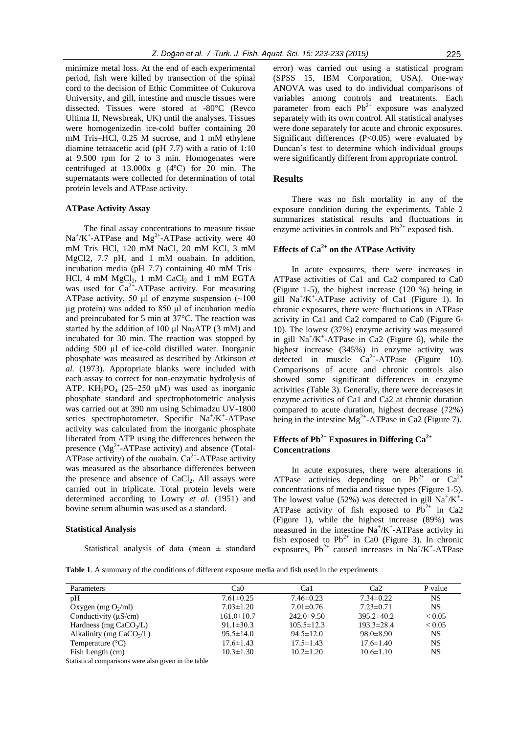minimize metal loss. At the end of each experimental period, fish were killed by transection of the spinal cord to the decision of Ethic Committee of Cukurova University, and gill, intestine and muscle tissues were dissected. Tissues were stored at -80°C (Revco Ultima II, Newsbreak, UK) until the analyses. Tissues were homogenizedin ice-cold buffer containing 20 mM Tris–HCl, 0.25 M sucrose, and 1 mM ethylene diamine tetraacetic acid (pH 7.7) with a ratio of 1:10 at 9.500 rpm for 2 to 3 min. Homogenates were centrifuged at 13.000x g (4ºC) for 20 min. The supernatants were collected for determination of total protein levels and ATPase activity.

#### **ATPase Activity Assay**

The final assay concentrations to measure tissue  $Na^+/K^+$ -ATPase and  $Mg^{2+}$ -ATPase activity were 40 mM Tris–HCl, 120 mM NaCl, 20 mM KCl, 3 mM MgCl2, 7.7 pH, and 1 mM ouabain. In addition, incubation media (pH 7.7) containing 40 mM Tris– HCl, 4 mM  $MgCl<sub>2</sub>$ , 1 mM  $CaCl<sub>2</sub>$  and 1 mM EGTA was used for  $Ca^{2+}$ -ATPase activity. For measuring ATPase activity, 50  $\mu$ l of enzyme suspension (~100) µg protein) was added to 850 µl of incubation media and preincubated for 5 min at 37°C. The reaction was started by the addition of 100  $\mu$ l Na<sub>2</sub>ATP (3 mM) and incubated for 30 min. The reaction was stopped by adding 500 µl of ice-cold distilled water. Inorganic phosphate was measured as described by Atkinson *et al.* (1973). Appropriate blanks were included with each assay to correct for non-enzymatic hydrolysis of ATP.  $KH_2PO_4$  (25–250 µM) was used as inorganic phosphate standard and spectrophotometric analysis was carried out at 390 nm using Schimadzu UV-1800 series spectrophotometer. Specific  $Na^+/K^+$ -ATPase activity was calculated from the inorganic phosphate liberated from ATP using the differences between the presence  $(Mg^{2+}-ATPase$  activity) and absence (Total-ATPase activity) of the ouabain.  $Ca^{2+}$ -ATPase activity was measured as the absorbance differences between the presence and absence of  $CaCl<sub>2</sub>$ . All assays were carried out in triplicate. Total protein levels were determined according to Lowry *et al.* (1951) and bovine serum albumin was used as a standard.

#### **Statistical Analysis**

Statistical analysis of data (mean  $\pm$  standard

error) was carried out using a statistical program (SPSS 15, IBM Corporation, USA). One-way ANOVA was used to do individual comparisons of variables among controls and treatments. Each parameter from each  $Pb^{2+}$  exposure was analyzed separately with its own control. All statistical analyses were done separately for acute and chronic exposures. Significant differences (P<0.05) were evaluated by Duncan's test to determine which individual groups were significantly different from appropriate control.

## **Results**

There was no fish mortality in any of the exposure condition during the experiments. Table 2 summarizes statistical results and fluctuations in enzyme activities in controls and  $Pb^{2+}$  exposed fish.

## **Effects of Ca2+ on the ATPase Activity**

In acute exposures, there were increases in ATPase activities of Ca1 and Ca2 compared to Ca0 (Figure 1-5), the highest increase (120 %) being in gill  $Na^+/K^+$ -ATPase activity of Ca1 (Figure 1). In chronic exposures, there were fluctuations in ATPase activity in Ca1 and Ca2 compared to Ca0 (Figure 6- 10). The lowest (37%) enzyme activity was measured in gill  $Na^{+}/K^{+}$ -ATPase in Ca2 (Figure 6), while the highest increase (345%) in enzyme activity was detected in muscle  $Ca^{2+}-ATP$ ase (Figure 10). Comparisons of acute and chronic controls also showed some significant differences in enzyme activities (Table 3). Generally, there were decreases in enzyme activities of Ca1 and Ca2 at chronic duration compared to acute duration, highest decrease (72%) being in the intestine  $Mg^{2+}$ -ATPase in Ca2 (Figure 7).

## **Effects of Pb<sup>2+</sup> <b>Exposures in Differing Ca**<sup>2+</sup> **Concentrations**

In acute exposures, there were alterations in ATPase activities depending on  $Pb^{2+}$  or  $Ca^{2+}$ concentrations of media and tissue types (Figure 1-5). The lowest value (52%) was detected in gill  $Na^{+}/K^{+}$ -ATPase activity of fish exposed to  $Pb^{2+}$  in Ca2 (Figure 1), while the highest increase (89%) was measured in the intestine  $Na^+/K^+$ -ATPase activity in fish exposed to  $Pb^{2+}$  in Ca0 (Figure 3). In chronic exposures,  $Pb^{2+}$  caused increases in Na<sup>+</sup>/K<sup>+</sup>-ATPase

**Table 1**. A summary of the conditions of different exposure media and fish used in the experiments

| Parameters                 | Ca0              | Ca1              | Ca2              | P value       |
|----------------------------|------------------|------------------|------------------|---------------|
| pH                         | $7.61 \pm 0.25$  | $7.46\pm0.23$    | $7.34 \pm 0.22$  | NS.           |
| Oxygen (mg $O_2$ /ml)      | $7.03 \pm 1.20$  | $7.01 \pm 0.76$  | $7.23 \pm 0.71$  | <b>NS</b>     |
| Conductivity $(\mu S/cm)$  | $161.0 \pm 10.7$ | $242.0 \pm 9.50$ | $395.2 \pm 40.2$ | ${}_{< 0.05}$ |
| Hardness (mg $CaCO3/L$ )   | $91.1 \pm 30.3$  | $105.5 \pm 12.3$ | $193.3 \pm 28.4$ | ${}_{< 0.05}$ |
| Alkalinity (mg $CaCO3/L$ ) | $95.5 \pm 14.0$  | $94.5 \pm 12.0$  | $98.0 \pm 8.90$  | <b>NS</b>     |
| Temperature $(^{\circ}C)$  | $17.6 \pm 1.43$  | $17.5 \pm 1.43$  | $17.6 \pm 1.40$  | <b>NS</b>     |
| Fish Length (cm)           | $10.3 \pm 1.30$  | $10.2 \pm 1.20$  | $10.6 \pm 1.10$  | <b>NS</b>     |

Statistical comparisons were also given in the table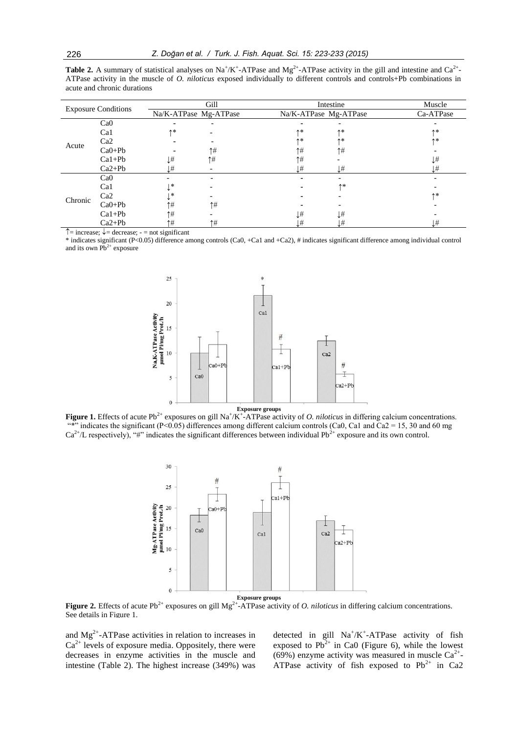| <b>Table 2.</b> A summary of statistical analyses on $Na^+/K^+$ -ATPase and $Mg^{2+}$ -ATPase activity in the gill and intestine and $Ca^{2+}$ - |
|--------------------------------------------------------------------------------------------------------------------------------------------------|
| ATPase activity in the muscle of <i>O. niloticus</i> exposed individually to different controls and controls+Pb combinations in                  |
| acute and chronic durations                                                                                                                      |

| <b>Exposure Conditions</b> |          | Gill                  |                | Intestine             |                          | Muscle          |
|----------------------------|----------|-----------------------|----------------|-----------------------|--------------------------|-----------------|
|                            |          | Na/K-ATPase Mg-ATPase |                | Na/K-ATPase Mg-ATPase |                          | Ca-ATPase       |
| Acute                      | CaO      |                       |                |                       |                          |                 |
|                            | Cal      | 个米                    |                | 个米                    | ↑*                       | 个米              |
|                            | Ca2      |                       |                | <b>个米</b>             | ↑*                       | 个米              |
|                            | $CaO+Pb$ |                       | ↑#             | ↑#                    | $\uparrow \#$            |                 |
|                            | $Ca1+Pb$ | $\downarrow \#$       | ↑#             | 1#                    |                          | $\downarrow \#$ |
|                            | $Ca2+Pb$ | Ţ#                    |                | $\downarrow \#$       | ļ#                       | T#              |
| Chronic                    | CaO      |                       |                |                       | $\overline{\phantom{0}}$ |                 |
|                            | Cal      | ∗                     |                |                       | 个米                       |                 |
|                            | Ca2      | ∗                     |                |                       |                          | 个米              |
|                            | $CaO+Pb$ | ↑#                    | $\uparrow\neq$ |                       |                          |                 |
|                            | $Ca1+Pb$ | $\uparrow \#$         |                | l#                    | $\downarrow \#$          |                 |
|                            | $Ca2+Pb$ | ↑#                    | $\uparrow \#$  | $\downarrow \#$       | Ļ#                       | $\downarrow \#$ |

 $\uparrow$  = increase;  $\downarrow$  = decrease; - = not significant

\* indicates significant (P<0.05) difference among controls (Ca0, +Ca1 and +Ca2), # indicates significant difference among individual control and its own  $Pb^{2+}$  exposure



**Figure 1.** Effects of acute Pb<sup>2+</sup> exposures on gill Na<sup>+</sup>/K<sup>+</sup>-ATPase activity of *O. niloticus* in differing calcium concentrations. "\*" indicates the significant (P<0.05) differences among different calcium controls (Ca0, Ca1 and Ca2 = 15, 30 and 60 mg  $Ca^{2+}/L$  respectively), "#" indicates the significant differences between individual Pb<sup>2+</sup> exposure and its own control.



**Figure 2.** Effects of acute Pb<sup>2+</sup> exposures on gill Mg<sup>2+</sup>-ATPase activity of *O. niloticus* in differing calcium concentrations. See details in Figure 1.

and  $Mg^{2+}$ -ATPase activities in relation to increases in  $Ca<sup>2+</sup>$  levels of exposure media. Oppositely, there were decreases in enzyme activities in the muscle and intestine (Table 2). The highest increase (349%) was

detected in gill  $Na^+/K^+$ -ATPase activity of fish exposed to  $Pb^{2+}$  in Ca0 (Figure 6), while the lowest (69%) enzyme activity was measured in muscle  $Ca^{2+}$ ATPase activity of fish exposed to  $Pb^{2+}$  in Ca2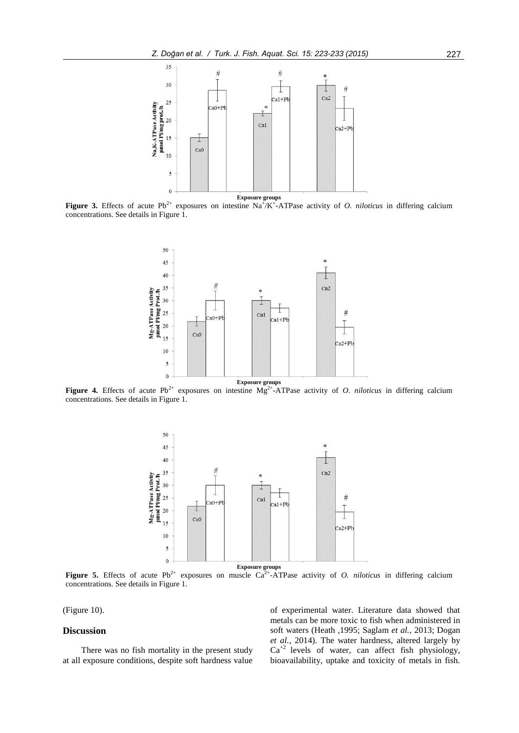

**Figure 3.** Effects of acute Pb<sup>2+</sup> exposures on intestine  $Na^+/K^+$ -ATPase activity of *O. niloticus* in differing calcium concentrations. See details in Figure 1.



**Figure 4.** Effects of acute Pb<sup>2+</sup> exposures on intestine Mg<sup>2+</sup>-ATPase activity of *O. niloticus* in differing calcium concentrations. See details in Figure 1.



**Figure 5.** Effects of acute Pb<sup>2+</sup> exposures on muscle Ca<sup>2+</sup>-ATPase activity of *O. niloticus* in differing calcium concentrations. See details in Figure 1.

(Figure 10).

### **Discussion**

There was no fish mortality in the present study at all exposure conditions, despite soft hardness value of experimental water. Literature data showed that metals can be more toxic to fish when administered in soft waters (Heath ,1995; Saglam *et al.*, 2013; Dogan *et al.*, 2014). The water hardness, altered largely by  $Ca^{+2}$  levels of water, can affect fish physiology, bioavailability, uptake and toxicity of metals in fish.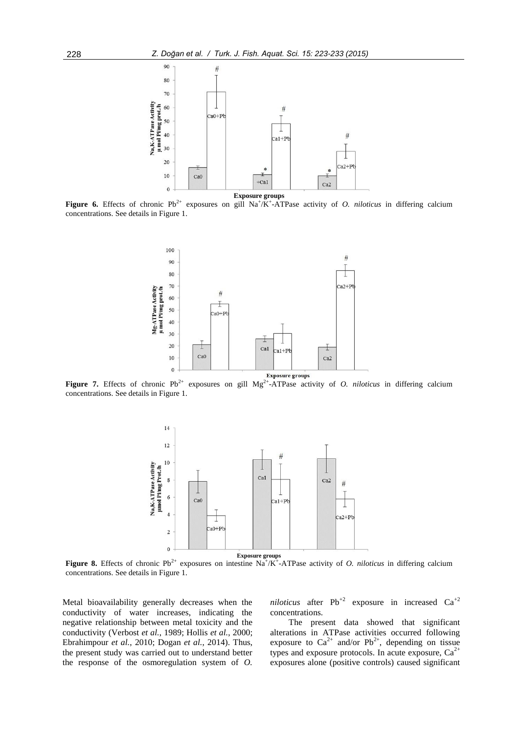

**Figure 6.** Effects of chronic  $Pb^{2+}$  exposures on gill  $Na^{+}/K^{+}$ -ATPase activity of *O. niloticus* in differing calcium concentrations. See details in Figure 1.



**Figure 7.** Effects of chronic  $Pb^{2+}$  exposures on gill  $Mg^{2+}$ -ATPase activity of *O. niloticus* in differing calcium concentrations. See details in Figure 1.



**Figure 8.** Effects of chronic  $Pb^{2+}$  exposures on intestine  $Na^+/K^+$ -ATPase activity of *O. niloticus* in differing calcium concentrations. See details in Figure 1.

Metal bioavailability generally decreases when the conductivity of water increases, indicating the negative relationship between metal toxicity and the conductivity (Verbost *et al.*, 1989; Hollis *et al.*, 2000; Ebrahimpour *et al.*, 2010; Dogan *et al.*, 2014). Thus, the present study was carried out to understand better the response of the osmoregulation system of *O.*  *niloticus* after  $Pb^{+2}$  exposure in increased  $Ca^{+2}$ concentrations.

The present data showed that significant alterations in ATPase activities occurred following exposure to  $Ca^{2+}$  and/or Pb<sup>2+</sup>, depending on tissue types and exposure protocols. In acute exposure,  $Ca^{2+}$ exposures alone (positive controls) caused significant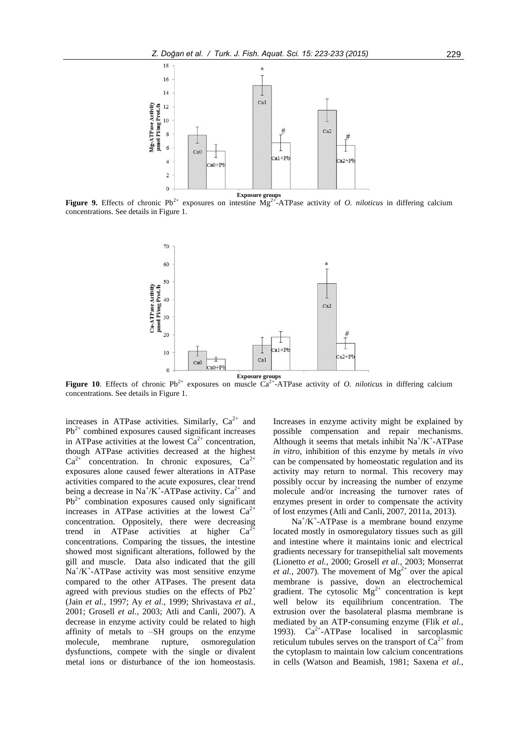

**Figure 9.** Effects of chronic  $Pb^{2+}$  exposures on intestine  $Mg^{2+}$ -ATPase activity of *O. niloticus* in differing calcium concentrations. See details in Figure 1.



**Figure 10**. Effects of chronic Pb<sup>2+</sup> exposures on muscle  $\text{Ca}^{2+}$ -ATPase activity of *O. niloticus* in differing calcium concentrations. See details in Figure 1.

increases in ATPase activities. Similarly,  $Ca^{2+}$  and  $Pb^{2+}$  combined exposures caused significant increases in ATPase activities at the lowest  $Ca^{2+}$  concentration, though ATPase activities decreased at the highest  $Ca^{2+}$  concentration. In chronic exposures,  $Ca^{2+}$ exposures alone caused fewer alterations in ATPase activities compared to the acute exposures, clear trend being a decrease in  $Na^+/K^+$ -ATPase activity.  $Ca^{2+}$  and  $Pb^{2+}$  combination exposures caused only significant increases in ATPase activities at the lowest  $Ca^{2+}$ concentration. Oppositely, there were decreasing trend in ATPase activities at higher  $Ca<sup>2</sup>$ concentrations. Comparing the tissues, the intestine showed most significant alterations, followed by the gill and muscle. Data also indicated that the gill  $Na^+/K^+$ -ATPase activity was most sensitive enzyme compared to the other ATPases. The present data agreed with previous studies on the effects of  $Pb2^+$ (Jain *et al.*, 1997; Ay *et al.*, 1999; Shrivastava *et al.*, 2001; Grosell *et al.*, 2003; Atli and Canli, 2007). A decrease in enzyme activity could be related to high affinity of metals to –SH groups on the enzyme molecule, membrane rupture, osmoregulation dysfunctions, compete with the single or divalent metal ions or disturbance of the ion homeostasis.

Increases in enzyme activity might be explained by possible compensation and repair mechanisms. Although it seems that metals inhibit  $Na^+/K^+$ -ATPase *in vitro*, inhibition of this enzyme by metals *in vivo*  can be compensated by homeostatic regulation and its activity may return to normal. This recovery may possibly occur by increasing the number of enzyme molecule and/or increasing the turnover rates of enzymes present in order to compensate the activity of lost enzymes (Atli and Canli, 2007, 2011a, 2013).

 $Na^{+}/K^{+}$ -ATPase is a membrane bound enzyme located mostly in osmoregulatory tissues such as gill and intestine where it maintains ionic and electrical gradients necessary for transepithelial salt movements (Lionetto *et al.*, 2000; Grosell *et al.*, 2003; Monserrat *et al.*, 2007). The movement of  $Mg^{2+}$  over the apical membrane is passive, down an electrochemical gradient. The cytosolic  $Mg^{2+}$  concentration is kept well below its equilibrium concentration. The extrusion over the basolateral plasma membrane is mediated by an ATP-consuming enzyme (Flik *et al.*, 1993). Ca<sup>2+</sup>-ATPase localised in sarcoplasmic reticulum tubules serves on the transport of  $Ca^{2+}$  from the cytoplasm to maintain low calcium concentrations in cells (Watson and Beamish, 1981; Saxena *et al.*,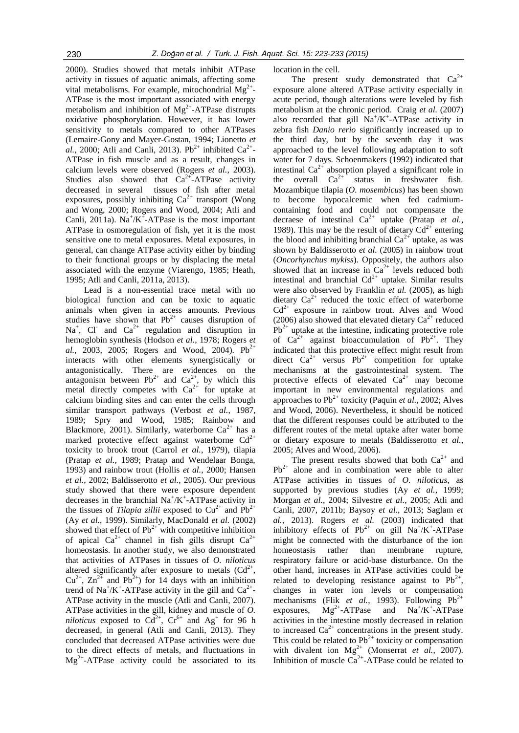2000). Studies showed that metals inhibit ATPase activity in tissues of aquatic animals, affecting some vital metabolisms. For example, mitochondrial  $Mg^{2+}$ -ATPase is the most important associated with energy metabolism and inhibition of  $Mg^{2+}$ -ATPase distrupts oxidative phosphorylation. However, it has lower sensitivity to metals compared to other ATPases (Lemaire-Gony and Mayer-Gostan, 1994; Lionetto *et*  al., 2000; Atli and Canli, 2013). Pb<sup>2+</sup> inhibited  $Ca^{2+}$ -ATPase in fish muscle and as a result, changes in calcium levels were observed (Rogers *et al.*, 2003). Studies also showed that  $Ca^{2+}-ATP$ ase activity decreased in several tissues of fish after metal exposures, possibly inhibiting  $Ca^{2+}$  transport (Wong and Wong, 2000; Rogers and Wood, 2004; Atli and Canli, 2011a).  $Na^{+}/K^{+}$ -ATPase is the most important ATPase in osmoregulation of fish, yet it is the most sensitive one to metal exposures. Metal exposures, in general, can change ATPase activity either by binding to their functional groups or by displacing the metal associated with the enzyme (Viarengo, 1985; Heath, 1995; Atli and Canli, 2011a, 2013).

Lead is a non-essential trace metal with no biological function and can be toxic to aquatic animals when given in access amounts. Previous studies have shown that  $Pb^{2+}$  causes disruption of  $Na<sup>+</sup>$ , Cl and  $Ca<sup>2+</sup>$  regulation and disruption in hemoglobin synthesis (Hodson *et al.*, 1978; Rogers *et al.*, 2003, 2005; Rogers and Wood, 2004).  $Pb^{2+}$ interacts with other elements synergistically or antagonistically. There are evidences on the antagonism between  $Pb^{2+}$  and  $Ca^{2+}$ , by which this metal directly competes with  $Ca^{2+}$  for uptake at calcium binding sites and can enter the cells through similar transport pathways (Verbost *et al.*, 1987, 1989; Spry and Wood, 1985; Rainbow and Blackmore, 2001). Similarly, waterborne  $Ca^{2+}$  has a marked protective effect against waterborne  $Cd^{2+}$ toxicity to brook trout (Carrol *et al.*, 1979), tilapia (Pratap *et al.*, 1989; Pratap and Wendelaar Bonga, 1993) and rainbow trout (Hollis *et al.*, 2000; Hansen *et al.*, 2002; Baldisserotto *et al.*, 2005). Our previous study showed that there were exposure dependent decreases in the branchial  $Na^+/K^+$ -ATPase activity in the tissues of *Tilapia zillii* exposed to  $Cu^{2+}$  and  $Pb^{2+}$ (Ay *et al.*, 1999). Similarly, MacDonald *et al.* (2002) showed that effect of  $Pb^{2+}$  with competitive inhibition of apical  $Ca^{2+}$  channel in fish gills disrupt  $Ca^{2+}$ homeostasis. In another study, we also demonstrated that activities of ATPases in tissues of *O. niloticus* altered significantly after exposure to metals  $(Cd^{2+})$ ,  $Cu^{2+}$ ,  $Zn^{2+}$  and Pb<sup>2+</sup>) for 14 days with an inhibition trend of  $\text{Na}^{\text{+}}/\text{K}^{\text{+}}$ -ATPase activity in the gill and  $\text{Ca}^{\text{2+}}$ -ATPase activity in the muscle (Atli and Canli, 2007). ATPase activities in the gill, kidney and muscle of *O. niloticus* exposed to  $Cd^{2+}$ ,  $Cr^{6+}$  and Ag<sup>+</sup> for 96 h decreased, in general (Atli and Canli, 2013). They concluded that decreased ATPase activities were due to the direct effects of metals, and fluctuations in  $Mg^{2+}$ -ATPase activity could be associated to its location in the cell.

The present study demonstrated that  $Ca^{2+}$ exposure alone altered ATPase activity especially in acute period, though alterations were leveled by fish metabolism at the chronic period. Craig *et al.* (2007) also recorded that gill  $Na^+/K^+$ -ATPase activity in zebra fish *Danio rerio* significantly increased up to the third day, but by the seventh day it was approached to the level following adaptation to soft water for 7 days. Schoenmakers (1992) indicated that intestinal  $Ca^{2+}$  absorption played a significant role in<br>the overall  $Ca^{2+}$  status in freshwater fish. the overall  $Ca^{2+}$  status in freshwater fish. Mozambique tilapia (*O. mosembicus*) has been shown to become hypocalcemic when fed cadmiumcontaining food and could not compensate the decraese of intestinal  $Ca^{2+}$  uptake (Pratap *et al.*, 1989). This may be the result of dietary  $Cd^{2+}$  entering the blood and inhibiting branchial  $Ca^{2+}$  uptake, as was shown by Baldisserotto *et al.* (2005) in rainbow trout (*Oncorhynchus mykiss*). Oppositely, the authors also showed that an increase in  $Ca^{2+}$  levels reduced both intestinal and branchial  $Cd^{2+}$  uptake. Similar results were also observed by Franklin *et al.* (2005), as high dietary  $Ca^{2+}$  reduced the toxic effect of waterborne  $Cd^{2+}$  exposure in rainbow trout. Alves and Wood (2006) also showed that elevated dietary  $Ca^{2+}$  reduced  $Pb^{2+}$  uptake at the intestine, indicating protective role of  $Ca^{2+}$  against bioaccumulation of Pb<sup>2+</sup>. They indicated that this protective effect might result from direct  $Ca^{2+}$  versus Pb<sup>2+</sup> competition for uptake mechanisms at the gastrointestinal system. The protective effects of elevated  $Ca^{2+}$  may become important in new environmental regulations and approaches to  $Pb^{2+}$  toxicity (Paquin *et al.*, 2002; Alves and Wood, 2006). Nevertheless, it should be noticed that the different responses could be attributed to the different routes of the metal uptake after water borne or dietary exposure to metals (Baldisserotto *et al.*, 2005; Alves and Wood, 2006).

The present results showed that both  $Ca^{2+}$  and  $Pb^{2+}$  alone and in combination were able to alter ATPase activities in tissues of *O. niloticus*, as supported by previous studies (Ay *et al.*, 1999; Morgan *et al.*, 2004; Silvestre *et al.*, 2005; Atli and Canli, 2007, 2011b; Baysoy *et al.*, 2013; Saglam *et al.*, 2013). Rogers *et al.* (2003) indicated that inhibitory effects of  $Pb^{2+}$  on gill  $Na^{+}/K^{+}$ -ATPase might be connected with the disturbance of the ion homeostasis rather than membrane rupture, respiratory failure or acid-base disturbance. On the other hand, increases in ATPase activities could be related to developing resistance against to  $Pb^{2+}$ , changes in water ion levels or compensation mechanisms (Flik *et al.*, 1993). Following  $Pb^{2+}$ exposures,  $Mg^{2+}$ -ATPase and  $Na^{+}/K^{+}$ -ATPase activities in the intestine mostly decreased in relation to increased  $Ca^{2+}$  concentrations in the present study. This could be related to  $Pb^{2+}$  toxicity or compensation with divalent ion  $Mg^{2+}$  (Monserrat *et al.*, 2007). Inhibition of muscle  $Ca^{2+}$ -ATPase could be related to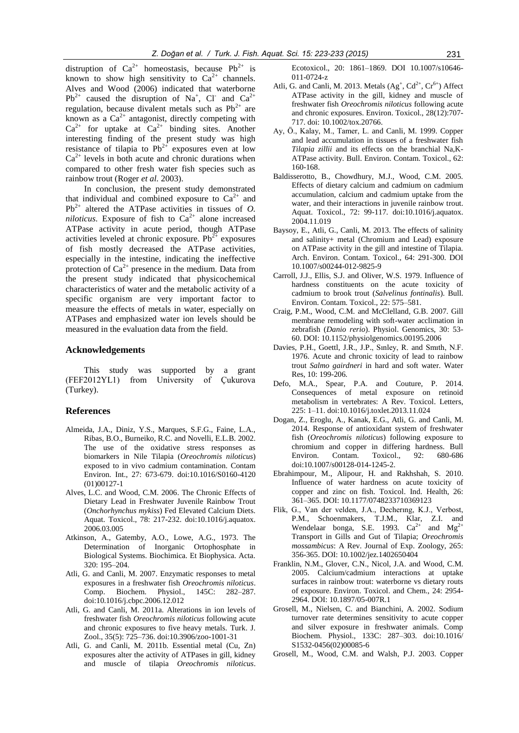distruption of  $Ca^{2+}$  homeostasis, because Pb<sup>2+</sup> is known to show high sensitivity to  $Ca^{2+}$  channels. Alves and Wood (2006) indicated that waterborne  $Pb^{2+}$  caused the disruption of Na<sup>+</sup>, Cl<sup>-</sup> and Ca<sup>2+</sup> regulation, because divalent metals such as  $Pb^{2+}$  are known as a  $Ca^{2+}$  antagonist, directly competing with  $Ca^{2+}$  for uptake at  $Ca^{2+}$  binding sites. Another interesting finding of the present study was high resistance of tilapia to  $Pb^{2+}$  exposures even at low  $Ca^{2+}$  levels in both acute and chronic durations when compared to other fresh water fish species such as rainbow trout (Roger *et al.* 2003).

In conclusion, the present study demonstrated that individual and combined exposure to  $Ca^{2+}$  and  $Pb^{2+}$  altered the ATPase activities in tissues of *O*. *niloticus*. Exposure of fish to  $Ca^{2+}$  alone increased ATPase activity in acute period, though ATPase activities leveled at chronic exposure.  $Pb^{2+}$  exposures of fish mostly decreased the ATPase activities, especially in the intestine, indicating the ineffective protection of  $Ca^{2+}$  presence in the medium. Data from the present study indicated that physicochemical characteristics of water and the metabolic activity of a specific organism are very important factor to measure the effects of metals in water, especially on ATPases and emphasized water ion levels should be measured in the evaluation data from the field.

## **Acknowledgements**

This study was supported by a grant (FEF2012YL1) from University of Çukurova (Turkey).

#### **References**

- Almeida, J.A., Diniz, Y.S., Marques, S.F.G., Faine, L.A., Ribas, B.O., Burneiko, R.C. and Novelli, E.L.B. 2002. The use of the oxidative stress responses as biomarkers in Nile Tilapia (*Oreochromis niloticus*) exposed to in vivo cadmium contamination. Contam Environ. Int., 27: 673-679. [doi:10.1016/S0160-4120](http://dx.doi.org/10.1016/S0160-4120(01)00127-1) [\(01\)00127-1](http://dx.doi.org/10.1016/S0160-4120(01)00127-1)
- Alves, L.C. and Wood, C.M. 2006. The Chronic Effects of Dietary Lead in Freshwater Juvenile Rainbow Trout (*Onchorhynchus mykiss*) Fed Elevated Calcium Diets. Aquat. Toxicol., 78: 217-232. [doi:10.1016/j.aquatox.](http://dx.doi.org/10.1016/j.aquatox.2006.03.005) [2006.03.005](http://dx.doi.org/10.1016/j.aquatox.2006.03.005)
- Atkinson, A., Gatemby, A.O., Lowe, A.G., 1973. The Determination of Inorganic Ortophosphate in Biological Systems. Biochimica. Et Biophysica. Acta. 320: 195–204.
- Atli, G. and Canli, M. 2007. Enzymatic responses to metal exposures in a freshwater fish *Oreochromis niloticus*. Comp. Biochem. Physiol., 145C: 282–287. [doi:10.1016/j.cbpc.2006.12.012](http://dx.doi.org/10.1016/j.cbpc.2006.12.012)
- Atli, G. and Canli, M. 2011a. Alterations in ion levels of freshwater fish *Oreochromis niloticus* following acute and chronic exposures to five heavy metals. Turk. J. Zool., 35(5): 725–736. doi:10.3906/zoo-1001-31
- Atli, G. and Canli, M. 2011b. Essential metal (Cu, Zn) exposures alter the activity of ATPases in gill, kidney and muscle of tilapia *Oreochromis niloticus*.

Ecotoxicol., 20: 1861–1869. DOI 10.1007/s10646- 011-0724-z

- Atli, G. and Canli, M. 2013. Metals  $(Ag^+, Cd^{2+}, Cr^{6+})$  Affect ATPase activity in the gill, kidney and muscle of freshwater fish *Oreochromis niloticus* following acute and chronic exposures. Environ. Toxicol., 28(12):707- 717. doi: 10.1002/tox.20766.
- Ay, Ö., Kalay, M., Tamer, L. and Canli, M. 1999. Copper and lead accumulation in tissues of a freshwater fish *Tilapia zillii* and its effects on the branchial Na,K-ATPase activity. Bull. Environ. Contam. Toxicol., 62: 160-168.
- Baldisserotto, B., Chowdhury, M.J., Wood, C.M. 2005. Effects of dietary calcium and cadmium on cadmium accumulation, calcium and cadmium uptake from the water, and their interactions in juvenile rainbow trout. Aquat. Toxicol., 72: 99-117. [doi:10.1016/j.aquatox.](http://dx.doi.org/10.1016/j.aquatox.2004.11.019) [2004.11.019](http://dx.doi.org/10.1016/j.aquatox.2004.11.019)
- Baysoy, E., Atli, G., Canli, M. 2013. The effects of salinity and salinity+ metal (Chromium and Lead) exposure on ATPase activity in the gill and intestine of Tilapia. Arch. Environ. Contam. Toxicol., 64: 291-300. DOI 10.1007/s00244-012-9825-9
- Carroll, J.J., Ellis, S.J. and Oliver, W.S. 1979. Influence of hardness constituents on the acute toxicity of cadmium to brook trout (*Salvelinus fontinalis*). Bull. Environ. Contam. Toxicol., 22: 575–581.
- Craig, P.M., Wood, C.M. and McClelland, G.B. 2007. Gill membrane remodeling with soft-water acclimation in zebrafish (*Danio rerio*). Physiol. Genomics, 30: 53- 60. DOI: 10.1152/physiolgenomics.00195.2006
- Davies, P.H., Goettl, J.R., J.P., Sınley, R. and Smıth, N.F. 1976. Acute and chronic toxicity of lead to rainbow trout *Salmo gairdneri* in hard and soft water. Water Res, 10: 199-206.
- Defo, M.A., Spear, P.A. and Couture, P. 2014. Consequences of metal exposure on retinoid metabolism in vertebrates: A Rev. [Toxicol.](http://www.sciencedirect.com/science/journal/03784274) Letters, [225:](http://www.sciencedirect.com/science/journal/03784274/225/1) 1–11. [doi:10.1016/j.toxlet.2013.11.024](http://dx.doi.org/10.1016/j.toxlet.2013.11.024)
- Dogan, Z., Eroglu, A., Kanak, E.G., Atli, G. and Canli, M. 2014. Response of antioxidant system of freshwater fish (*Oreochromis niloticus*) following exposure to chromium and copper in differing hardness. Bull<br>Environ. Contam. Toxicol., 92: 680-686 Environ. Contam. Toxicol., 92: 680-686 doi:10.1007/s00128-014-1245-2.
- Ebrahimpour, M., Alipour, H. and Rakhshah, S. 2010. Influence of water hardness on acute toxicity of copper and zinc on fish. Toxicol. Ind. Health, 26: 361–365. DOI: 10.1177/0748233710369123
- Flik, G., Van der velden, J.A., Decherıng, K.J., Verbost, P.M., Schoenmakers, T.J.M., Klar, Z.I. and Wendelaar bonga, S.E. 1993.  $Ca^{2+}$  and  $Mg^{2+}$ Transport in Gills and Gut of Tilapia; *Oreochromis mossambicus*: A Rev. Journal of Exp. Zoology, 265: 356-365. DOI: 10.1002/jez.1402650404
- Franklin, N.M., Glover, C.N., Nicol, J.A. and Wood, C.M. 2005. Calcium/cadmium interactions at uptake surfaces in rainbow trout: waterborne vs dietary routs of exposure. Environ. Toxicol. and Chem., 24: 2954- 2964. DOI: 10.1897/05-007R.1
- Grosell, M., Nielsen, C. and Bianchini, A. 2002. Sodium turnover rate determines sensitivity to acute copper and silver exposure in freshwater animals. Comp Biochem. Physiol., 133C: 287–303. [doi:10.1016/](http://dx.doi.org/10.1016/S1532-0456(02)00085-6) [S1532-0456\(02\)00085-6](http://dx.doi.org/10.1016/S1532-0456(02)00085-6)
- Grosell, M., Wood, C.M. and Walsh, P.J. 2003. Copper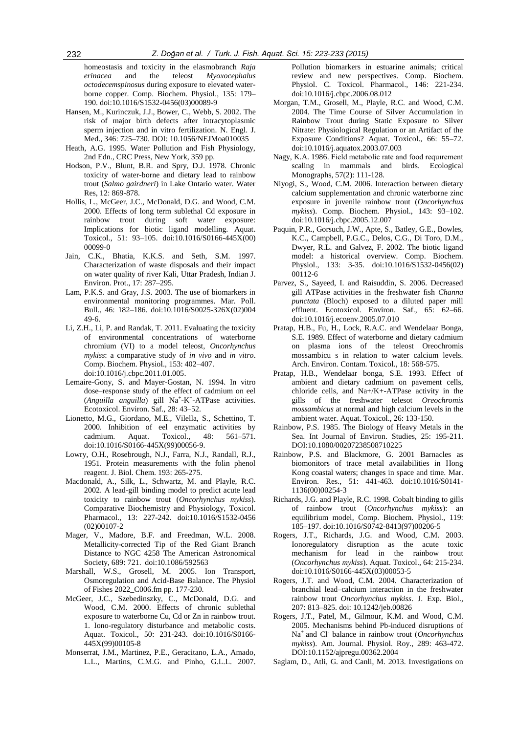homeostasis and toxicity in the elasmobranch *Raja erinacea* and the teleost *Myoxocephalus octodecemspinosus* during exposure to elevated waterborne copper. Comp. Biochem. Physiol., 135: 179– 190[. doi:10.1016/S1532-0456\(03\)00089-9](http://dx.doi.org/10.1016/S1532-0456(03)00089-9)

- Hansen, M., Kurinczuk, J.J., Bower, C., Webb, S. 2002. The risk of major birth defects after intracytoplasmic sperm injection and in vitro fertilization. N. Engl. J. Med., 346: 725–730. DOI: 10.1056/NEJMoa010035
- Heath, A.G. 1995. Water Pollution and Fish Physiology, 2nd Edn., CRC Press, New York, 359 pp.
- Hodson, P.V., Blunt, B.R. and Spry, D.J. 1978. Chronic toxicity of water-borne and dietary lead to rainbow trout (*Salmo gairdneri*) in Lake Ontario water. Water Res, 12: 869-878.
- Hollis, L., McGeer, J.C., McDonald, D.G. and Wood, C.M. 2000. Effects of long term sublethal Cd exposure in rainbow trout during soft water exposure: Implications for biotic ligand modelling. Aquat. Toxicol., 51: 93–105. [doi:10.1016/S0166-445X\(00\)](http://dx.doi.org/10.1016/S0166-445X(00)00099-0) [00099-0](http://dx.doi.org/10.1016/S0166-445X(00)00099-0)
- Jain, C.K., Bhatia, K.K.S. and Seth, S.M. 1997. Characterization of waste disposals and their impact on water quality of river Kali, Uttar Pradesh, Indian J. Environ. Prot., 17: 287–295.
- Lam, P.K.S. and Gray, J.S. 2003. The use of biomarkers in environmental monitoring programmes. Mar. Poll. Bull., 46: 182–186. [doi:10.1016/S0025-326X\(02\)004](http://dx.doi.org/10.1016/S0025-326X(02)00449-6) [49-6.](http://dx.doi.org/10.1016/S0025-326X(02)00449-6)
- Li, Z.H., Li, P. and Randak, T. 2011. Evaluating the toxicity of environmental concentrations of waterborne chromium (VI) to a model teleost, *Oncorhynchus mykiss*: a comparative study of *in vivo* and *in vitro*. Comp. Biochem. Physiol., 153: 402–407. [doi:10.1016/j.cbpc.2011.01.005.](http://dx.doi.org/10.1016/j.cbpc.2011.01.005)
- [Lemaire-Gony,](http://www.sciencedirect.com/science?_ob=ArticleURL&_udi=B6T4G-405KCVB-F&_user=613195&_coverDate=04%2F30%2F2000&_rdoc=1&_fmt=high&_orig=search&_origin=search&_sort=d&_docanchor=&view=c&_searchStrId=1570152962&_rerunOrigin=google&_acct=C000031979&_version=1&_urlVersion=0&_userid=613195&md5=1960ef63c653cada46a5f74db8ff5031&searchtype=a#bbib24#bbib24) S. and Mayer-Gostan, N. 1994. In vitro dose–response study of the effect of cadmium on eel  $(Anguilla \quad angular \quad$  gill  $Na^+ - K^+ - ATP$ ase activities. Ecotoxicol. Environ. Saf., 28: 43–52.
- Lionetto, M.G., Giordano, M.E., Vilella, S., Schettino, T. 2000. Inhibition of eel enzymatic activities by cadmium. Aquat. Toxicol., 48: 561–571. [doi:10.1016/S0166-445X\(99\)00056-9.](http://dx.doi.org/10.1016/S0166-445X(99)00056-9)
- Lowry, O.H., Rosebrough, N.J., Farra, N.J., Randall, R.J., 1951. Protein measurements with the folin phenol reagent. J. Biol. Chem. 193: 265-275.
- Macdonald, A., Silk, L., Schwartz, M. and Playle, R.C. 2002. A lead-gill binding model to predict acute lead toxicity to rainbow trout (*Oncorhynchus mykiss*). Comparative Biochemistry and Physiology, Toxicol. Pharmacol., 13: 227-242. [doi:10.1016/S1532-0456](http://dx.doi.org/10.1016/S1532-0456(02)00107-2) [\(02\)00107-2](http://dx.doi.org/10.1016/S1532-0456(02)00107-2)
- Mager, V., Madore, B.F. and Freedman, W.L. 2008. Metallicity-corrected Tip of the Red Giant Branch Distance to NGC 4258 The American Astronomical Society, 689: 721. [doi:10.1086/592563](http://dx.doi.org/10.1086/592563)
- Marshall, W.S., Grosell, M. 2005. Ion Transport, Osmoregulation and Acid-Base Balance. The Physiol of Fishes 2022\_C006.fm pp. 177-230.
- McGeer, J.C., Szebedinszky, C., McDonald, D.G. and Wood, C.M. 2000. Effects of chronic sublethal exposure to waterborne Cu, Cd or Zn in rainbow trout. 1. Iono-regulatory disturbance and metabolic costs. Aquat. Toxicol., 50: 231-243. [doi:10.1016/S0166-](http://dx.doi.org/10.1016/S0166-445X(99)00105-8) [445X\(99\)00105-8](http://dx.doi.org/10.1016/S0166-445X(99)00105-8)
- Monserrat, J.M., Martinez, P.E., Geracitano, L.A., Amado, L.L., Martins, C.M.G. and Pinho, G.L.L. 2007.

Pollution biomarkers in estuarine animals; critical review and new perspectives. Comp. Biochem. Physiol. C. Toxicol. Pharmacol., 146: 221-234. [doi:10.1016/j.cbpc.2006.08.012](http://dx.doi.org/10.1016/j.cbpc.2006.08.012)

- Morgan, T.M., Grosell, M., Playle, R.C. and Wood, C.M. 2004. The Time Course of Silver Accumulation in Rainbow Trout during Static Exposure to Silver Nitrate: Physiological Regulation or an Artifact of the Exposure Conditions? Aquat. Toxicol., 66: 55–72. [doi:10.1016/j.aquatox.2003.07.003](http://dx.doi.org/10.1016/j.aquatox.2003.07.003)
- Nagy, K.A. 1986. Field metabolic rate and food requırement scaling in mammals and birds. Ecological Monographs, 57(2): 111-128.
- Niyogi, S., Wood, C.M. 2006. Interaction between dietary calcium supplementation and chronic waterborne zinc exposure in juvenile rainbow trout (*Oncorhynchus mykiss*). Comp. Biochem. Physiol., 143: 93–102. [doi:10.1016/j.cbpc.2005.12.007](http://dx.doi.org/10.1016/j.cbpc.2005.12.007)
- Paquin, P.R., Gorsuch, J.W., Apte, S., Batley, G.E., Bowles, K.C., Campbell, P.G.C., Delos, C.G., Di Toro, D.M., Dwyer, R.L. and Galvez, F. 2002. The biotic ligand model: a historical overview. Comp. Biochem. Physiol., 133: 3-35. [doi:10.1016/S1532-0456\(02\)](http://dx.doi.org/10.1016/S1532-0456(02)00112-6) [00112-6](http://dx.doi.org/10.1016/S1532-0456(02)00112-6)
- Parvez, S., Sayeed, I. and Raisuddin, S. 2006. Decreased gill ATPase activities in the freshwater fish *Channa punctata* (Bloch) exposed to a diluted paper mill effluent. Ecotoxicol. Environ. Saf., 65: 62–66. [doi:10.1016/j.ecoenv.2005.07.010](http://dx.doi.org/10.1016/j.ecoenv.2005.07.010)
- Pratap, H.B., Fu, H., Lock, R.A.C. and Wendelaar Bonga, S.E. 1989. Effect of waterborne and dietary cadmium on plasma ions of the teleost Oreochromis mossambicu s in relation to water calcium levels. Arch. Environ. Contam. Toxicol., 18: 568-575.
- Pratap, H.B., Wendelaar bonga, S.E. 1993. Effect of ambient and dietary cadmium on pavement cells, chloride cells, and Na+/K+-ATPase activity in the gills of the freshwater telesot *Oreochromis mossambicus* at normal and high calcium levels in the ambient water. Aquat. Toxicol., 26: 133-150.
- Rainbow, P.S. 1985. The Biology of Heavy Metals in the Sea. Int Journal of Environ. Studies, 25: 195-211. DOI:10.1080/00207238508710225
- Rainbow, P.S. and Blackmore, G. 2001 Barnacles as biomonitors of trace metal availabilities in Hong Kong coastal waters; changes in space and time. Mar. Environ. Res., 51: 441-463. doi:10.1016/S0141- 1136(00)00254-3
- [Richards,](http://www.sciencedirect.com/science/article/pii/S0166445X04000475#BIB28) J.G. and Playle, R.C. 1998. Cobalt binding to gills of rainbow trout (*Oncorhynchus mykiss*): an equilibrium model, Comp. Biochem. Physiol., 119: 185–197. [doi:10.1016/S0742-8413\(97\)00206-5](http://dx.doi.org/10.1016/S0742-8413(97)00206-5)
- Rogers, J.T., Richards, J.G. and Wood, C.M. 2003. Ionoregulatory disruption as the acute toxic mechanism for lead in the rainbow trout (*Oncorhynchus mykiss*). Aquat. Toxicol., 64: 215-234. doi:10.1016/S0166-445X(03)00053-5
- Rogers, J.T. and Wood, C.M. 2004. Characterization of branchial lead–calcium interaction in the freshwater rainbow trout *Oncorhynchus mykiss*. J. Exp. Biol., 207: 813–825. doi: 10.1242/jeb.00826
- Rogers, J.T., Patel, M., Gilmour, K.M. and Wood, C.M. 2005. Mechanisms behind Pb-induced disruptions of Na<sup>+</sup>and Cl-balance in rainbow trout (*Oncorhynchus mykiss*). Am. Journal. Physiol. Roy., 289: 463-472. DOI:10.1152/ajpregu.00362.2004
- Saglam, D., Atli, G. and Canli, M. 2013. Investigations on